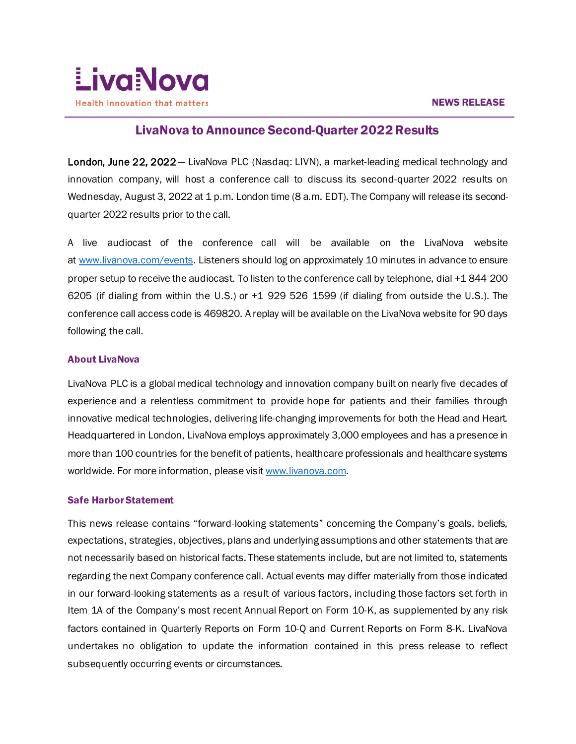

## $\overline{a}$ LivaNova to Announce Second-Quarter 2022 Results

London, June 22, 2022 — LivaNova PLC (Nasdaq: LIVN), a market-leading medical technology and innovation company, will host a conference call to discuss its second-quarter 2022 results on Wednesday, August 3, 2022 at 1 p.m. London time (8 a.m. EDT). The Company will release its secondquarter 2022 results prior to the call.

A live audiocast of the conference call will be available on the LivaNova website at [www.livanova.com/events.](http://www.livanova.com/events) Listeners should log on approximately 10 minutes in advance to ensure proper setup to receive the audiocast. To listen to the conference call by telephone, dial +1 844 200 6205 (if dialing from within the U.S.) or +1 929 526 1599 (if dialing from outside the U.S.). The conference call access code is 469820. A replay will be available on the LivaNova website for 90 days following the call.

## About LivaNova

LivaNova PLC is a global medical technology and innovation company built on nearly five decades of experience and a relentless commitment to provide hope for patients and their families through innovative medical technologies, delivering life-changing improvements for both the Head and Heart. Headquartered in London, LivaNova employs approximately 3,000 employees and has a presence in more than 100 countries for the benefit of patients, healthcare professionals and healthcare systems worldwide. For more information, please visi[t www.livanova.com.](http://www.livanova.com/)

## Safe Harbor Statement

This news release contains "forward-looking statements" concerning the Company's goals, beliefs, expectations, strategies, objectives, plans and underlying assumptions and other statements that are not necessarily based on historical facts. These statements include, but are not limited to, statements regarding the next Company conference call. Actual events may differ materially from those indicated in our forward-looking statements as a result of various factors, including those factors set forth in Item 1A of the Company's most recent Annual Report on Form 10-K, as supplemented by any risk factors contained in Quarterly Reports on Form 10-Q and Current Reports on Form 8-K. LivaNova undertakes no obligation to update the information contained in this press release to reflect subsequently occurring events or circumstances.